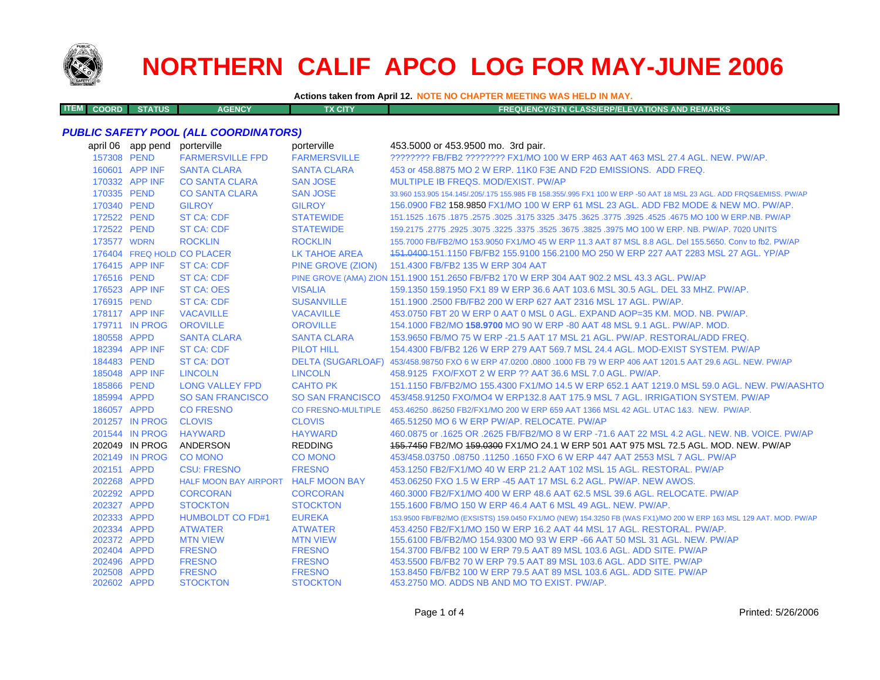

**ITEM**

# **NORTHERN CALIF APCO LOG FOR MAY-JUNE 2006**

**Actions taken from April 12. NOTE NO CHAPTER MEETING WAS HELD IN MAY.**

**COORD STATUS AGENCY TX CITY FREQUENCY/STN CLASS/ERP/ELEVATIONS AND REMARKS**

## *PUBLIC SAFETY POOL (ALL COORDINATORS)*

|             | april 06 app pend | porterville                         | porterville          | 453.5000 or 453.9500 mo. 3rd pair.                                                                                  |
|-------------|-------------------|-------------------------------------|----------------------|---------------------------------------------------------------------------------------------------------------------|
| 157308 PEND |                   | <b>FARMERSVILLE FPD</b>             | <b>FARMERSVILLE</b>  | ???????? FB/FB2 ??????? FX1/MO 100 W ERP 463 AAT 463 MSL 27.4 AGL. NEW. PW/AP.                                      |
|             | 160601 APP INF    | <b>SANTA CLARA</b>                  | <b>SANTA CLARA</b>   | 453 or 458,8875 MO 2 W ERP, 11K0 F3E AND F2D EMISSIONS. ADD FREQ.                                                   |
|             | 170332 APP INF    | <b>CO SANTA CLARA</b>               | <b>SAN JOSE</b>      | MULTIPLE IB FREQS, MOD/EXIST, PW/AP                                                                                 |
| 170335 PEND |                   | <b>CO SANTA CLARA</b>               | <b>SAN JOSE</b>      | 33.960 153.905 154.145/.205/.175 155.985 FB 158.355/.995 FX1 100 W ERP -50 AAT 18 MSL 23 AGL. ADD FRQS&EMISS. PW/AP |
| 170340 PEND |                   | <b>GILROY</b>                       | <b>GILROY</b>        | 156,0900 FB2 158,9850 FX1/MO 100 W ERP 61 MSL 23 AGL, ADD FB2 MODE & NEW MO, PW/AP.                                 |
| 172522 PEND |                   | ST CA: CDF                          | <b>STATEWIDE</b>     | 151.1525 .1675 .1875 .2575 .3025 .3175 3325 .3475 .3625 .3775 .3925 .4525 .4675 MO 100 W ERP.NB. PW/AP              |
| 172522 PEND |                   | <b>ST CA: CDF</b>                   | <b>STATEWIDE</b>     | 159.2175 .2775 .2925 .3075 .3225 .3675 .3825 .3825 .3975 MO 100 W ERP. NB. PW/AP. 7020 UNITS                        |
| 173577 WDRN |                   | <b>ROCKLIN</b>                      | <b>ROCKLIN</b>       | 155,7000 FB/FB2/MO 153,9050 FX1/MO 45 W ERP 11.3 AAT 87 MSL 8.8 AGL, Del 155,5650, Conv to fb2, PW/AP               |
|             |                   | 176404 FREQ HOLD CO PLACER          | <b>LK TAHOE AREA</b> | 151,0400-151,1150 FB/FB2 155,9100 156,2100 MO 250 W ERP 227 AAT 2283 MSL 27 AGL, YP/AP                              |
|             | 176415 APP INF    | <b>ST CA: CDF</b>                   | PINE GROVE (ZION)    | 151.4300 FB/FB2 135 W ERP 304 AAT                                                                                   |
| 176516 PEND |                   | <b>ST CA: CDF</b>                   |                      | PINE GROVE (AMA) ZION 151.1900 151.2650 FB/FB2 170 W ERP 304 AAT 902.2 MSL 43.3 AGL. PW/AP                          |
|             | 176523 APP INF    | <b>ST CA: OES</b>                   | <b>VISALIA</b>       | 159.1350 159.1950 FX1 89 W ERP 36.6 AAT 103.6 MSL 30.5 AGL. DEL 33 MHZ. PW/AP.                                      |
| 176915 PEND |                   | <b>ST CA: CDF</b>                   | <b>SUSANVILLE</b>    | 151.1900 .2500 FB/FB2 200 W ERP 627 AAT 2316 MSL 17 AGL, PW/AP.                                                     |
|             | 178117 APP INF    | <b>VACAVILLE</b>                    | <b>VACAVILLE</b>     | 453.0750 FBT 20 W ERP 0 AAT 0 MSL 0 AGL, EXPAND AOP=35 KM, MOD, NB, PW/AP,                                          |
|             | 179711 IN PROG    | <b>OROVILLE</b>                     | <b>OROVILLE</b>      | 154.1000 FB2/MO 158.9700 MO 90 W ERP -80 AAT 48 MSL 9.1 AGL, PW/AP, MOD,                                            |
| 180558 APPD |                   | <b>SANTA CLARA</b>                  | <b>SANTA CLARA</b>   | 153,9650 FB/MO 75 W ERP -21.5 AAT 17 MSL 21 AGL, PW/AP, RESTORAL/ADD FREQ.                                          |
|             | 182394 APP INF    | <b>ST CA: CDF</b>                   | <b>PILOT HILL</b>    | 154,4300 FB/FB2 126 W ERP 279 AAT 569.7 MSL 24.4 AGL, MOD-EXIST SYSTEM, PW/AP                                       |
| 184483 PEND |                   | <b>ST CA: DOT</b>                   |                      | DELTA (SUGARLOAF) 453/458.98750 FXO 6 W ERP 47.0200 .0800 .1000 FB 79 W ERP 406 AAT 1201.5 AAT 29.6 AGL. NEW. PW/AP |
|             | 185048 APP INF    | <b>LINCOLN</b>                      | <b>LINCOLN</b>       | 458.9125 FXO/FXOT 2 W ERP ?? AAT 36.6 MSL 7.0 AGL. PW/AP.                                                           |
| 185866 PEND |                   | <b>LONG VALLEY FPD</b>              | <b>CAHTO PK</b>      | 151.1150 FB/FB2/MO 155.4300 FX1/MO 14.5 W ERP 652.1 AAT 1219.0 MSL 59.0 AGL. NEW, PW/AASHTO                         |
| 185994 APPD |                   | <b>SO SAN FRANCISCO</b>             |                      | SO SAN FRANCISCO 453/458.91250 FXO/MO4 W ERP132.8 AAT 175.9 MSL 7 AGL. IRRIGATION SYSTEM. PW/AP                     |
| 186057 APPD |                   | <b>CO FRESNO</b>                    |                      | CO FRESNO-MULTIPLE 453.46250 .86250 FB2/FX1/MO 200 W ERP 659 AAT 1366 MSL 42 AGL. UTAC 1&3. NEW. PW/AP.             |
|             | 201257 IN PROG    | <b>CLOVIS</b>                       | <b>CLOVIS</b>        | 465.51250 MO 6 W ERP PW/AP, RELOCATE, PW/AP                                                                         |
|             | 201544 IN PROG    | <b>HAYWARD</b>                      | <b>HAYWARD</b>       | 460.0875 or .1625 OR .2625 FB/FB2/MO 8 W ERP -71.6 AAT 22 MSL 4.2 AGL. NEW. NB. VOICE. PW/AP                        |
|             | 202049 IN PROG    | ANDERSON                            | <b>REDDING</b>       | 155,7450 FB2/MO 159,0300 FX1/MO 24.1 W ERP 501 AAT 975 MSL 72.5 AGL, MOD, NEW, PW/AP                                |
|             | 202149 IN PROG    | <b>CO MONO</b>                      | <b>CO MONO</b>       | 453/458.03750 .08750 .11250 .1650 FXO 6 W ERP 447 AAT 2553 MSL 7 AGL. PW/AP                                         |
| 202151 APPD |                   | <b>CSU: FRESNO</b>                  | <b>FRESNO</b>        | 453.1250 FB2/FX1/MO 40 W ERP 21.2 AAT 102 MSL 15 AGL, RESTORAL, PW/AP                                               |
| 202268 APPD |                   | HALF MOON BAY AIRPORT HALF MOON BAY |                      | 453,06250 FXO 1.5 W ERP -45 AAT 17 MSL 6.2 AGL, PW/AP, NEW AWOS,                                                    |
| 202292 APPD |                   | <b>CORCORAN</b>                     | <b>CORCORAN</b>      | 460.3000 FB2/FX1/MO 400 W ERP 48.6 AAT 62.5 MSL 39.6 AGL, RELOCATE, PW/AP                                           |
| 202327 APPD |                   | <b>STOCKTON</b>                     | <b>STOCKTON</b>      | 155,1600 FB/MO 150 W ERP 46.4 AAT 6 MSL 49 AGL, NEW, PW/AP.                                                         |
| 202333 APPD |                   | <b>HUMBOLDT CO FD#1</b>             | <b>EUREKA</b>        | 153.9500 FB/FB2/MO (EXSISTS) 159.0450 FX1/MO (NEW) 154.3250 FB (WAS FX1)/MO 200 W ERP 163 MSL 129 AAT. MOD. PW/AP   |
| 202334 APPD |                   | <b>ATWATER</b>                      | <b>ATWATER</b>       | 453.4250 FB2/FX1/MO 150 W ERP 16.2 AAT 44 MSL 17 AGL, RESTORAL, PW/AP.                                              |
| 202372 APPD |                   | <b>MTN VIEW</b>                     | <b>MTN VIEW</b>      | 155,6100 FB/FB2/MO 154,9300 MO 93 W ERP -66 AAT 50 MSL 31 AGL, NEW, PW/AP                                           |
| 202404 APPD |                   | <b>FRESNO</b>                       | <b>FRESNO</b>        | 154,3700 FB/FB2 100 W ERP 79.5 AAT 89 MSL 103.6 AGL, ADD SITE, PW/AP                                                |
| 202496 APPD |                   | <b>FRESNO</b>                       | <b>FRESNO</b>        | 453,5500 FB/FB2 70 W ERP 79.5 AAT 89 MSL 103.6 AGL, ADD SITE, PW/AP                                                 |
| 202508 APPD |                   | <b>FRESNO</b>                       | <b>FRESNO</b>        | 153.8450 FB/FB2 100 W ERP 79.5 AAT 89 MSL 103.6 AGL. ADD SITE, PW/AP                                                |
| 202602 APPD |                   | <b>STOCKTON</b>                     | <b>STOCKTON</b>      | 453.2750 MO, ADDS NB AND MO TO EXIST, PW/AP.                                                                        |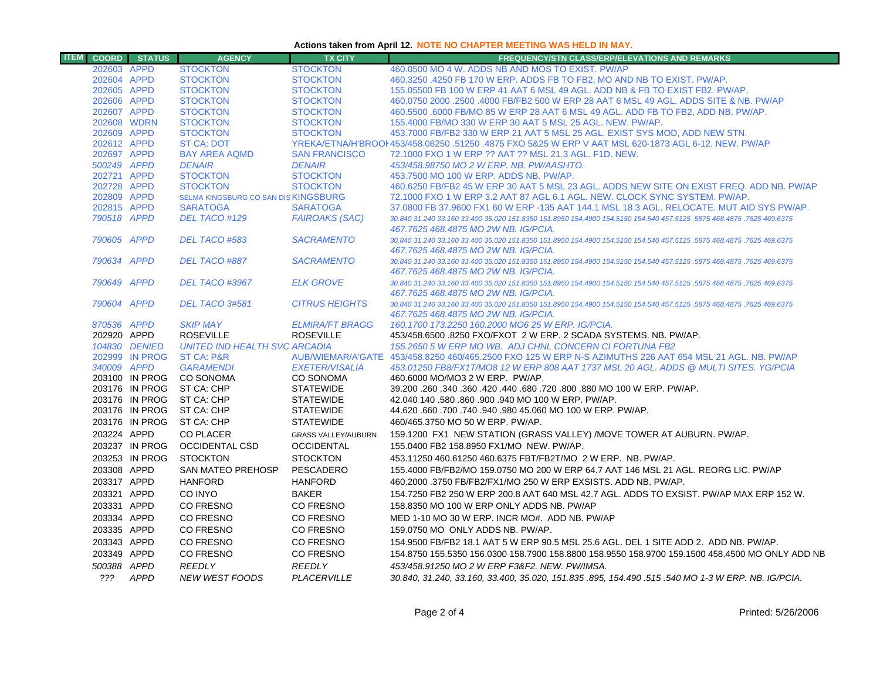## **Actions taken from April 12. NOTE NO CHAPTER MEETING WAS HELD IN MAY.**

| <b>ITEM</b> |                            | <b>COORD</b> STATUS              | <b>AGENCY</b>                        | <b>TX CITY</b>                     | <b>FREQUENCY/STN CLASS/ERP/ELEVATIONS AND REMARKS</b>                                                                                                                  |
|-------------|----------------------------|----------------------------------|--------------------------------------|------------------------------------|------------------------------------------------------------------------------------------------------------------------------------------------------------------------|
|             | 202603 APPD                |                                  | <b>STOCKTON</b>                      | <b>STOCKTON</b>                    | 460,0500 MO 4 W. ADDS NB AND MOS TO EXIST. PW/AP                                                                                                                       |
|             | 202604 APPD                |                                  | <b>STOCKTON</b>                      | <b>STOCKTON</b>                    | 460.3250 .4250 FB 170 W ERP. ADDS FB TO FB2, MO AND NB TO EXIST. PW/AP.                                                                                                |
|             | 202605 APPD                |                                  | <b>STOCKTON</b>                      | <b>STOCKTON</b>                    | 155,05500 FB 100 W ERP 41 AAT 6 MSL 49 AGL, ADD NB & FB TO EXIST FB2, PW/AP,                                                                                           |
|             | 202606 APPD                |                                  | <b>STOCKTON</b>                      | <b>STOCKTON</b>                    | 460.0750 2000 .2500 .4000 FB/FB2 500 W ERP 28 AAT 6 MSL 49 AGL. ADDS SITE & NB. PW/AP                                                                                  |
|             | 202607 APPD                |                                  | <b>STOCKTON</b>                      | <b>STOCKTON</b>                    | 460.5500 .6000 FB/MO 85 W ERP 28 AAT 6 MSL 49 AGL. ADD FB TO FB2, ADD NB. PW/AP.                                                                                       |
|             | 202608 WDRN                |                                  | <b>STOCKTON</b>                      | <b>STOCKTON</b>                    | 155,4000 FB/MO 330 W ERP 30 AAT 5 MSL 25 AGL, NEW, PW/AP.                                                                                                              |
|             | 202609 APPD                |                                  | <b>STOCKTON</b>                      | <b>STOCKTON</b>                    | 453.7000 FB/FB2 330 W ERP 21 AAT 5 MSL 25 AGL. EXIST SYS MOD, ADD NEW STN.                                                                                             |
|             | 202612 APPD                |                                  | <b>ST CA: DOT</b>                    |                                    | YREKA/ETNA/H'BROOI 453/458.06250 .51250 .4875 FXO 5&25 W ERP V AAT MSL 620-1873 AGL 6-12. NEW, PW/AP                                                                   |
|             | 202697 APPD                |                                  | <b>BAY AREA AQMD</b>                 | <b>SAN FRANCISCO</b>               | 72.1000 FXO 1 W ERP ?? AAT ?? MSL 21.3 AGL, F1D, NEW.                                                                                                                  |
|             | 500249 APPD                |                                  | <b>DENAIR</b>                        | <b>DENAIR</b>                      | 453/458.98750 MO 2 W ERP. NB. PW/AASHTO.                                                                                                                               |
|             | 202721 APPD                |                                  | <b>STOCKTON</b><br><b>STOCKTON</b>   | <b>STOCKTON</b><br><b>STOCKTON</b> | 453.7500 MO 100 W ERP. ADDS NB, PW/AP.                                                                                                                                 |
|             | 202728 APPD<br>202809 APPD |                                  | SELMA KINGSBURG CO SAN DIS KINGSBURG |                                    | 460.6250 FB/FB2 45 W ERP 30 AAT 5 MSL 23 AGL. ADDS NEW SITE ON EXIST FREQ. ADD NB. PW/AP<br>72.1000 FXO 1 W ERP 3.2 AAT 87 AGL 6.1 AGL. NEW. CLOCK SYNC SYSTEM. PW/AP. |
|             | 202815 APPD                |                                  | <b>SARATOGA</b>                      | <b>SARATOGA</b>                    | 37,0800 FB 37,9600 FX1 60 W ERP -135 AAT 144.1 MSL 18.3 AGL, RELOCATE, MUT AID SYS PW/AP.                                                                              |
|             | 790518 APPD                |                                  | DEL TACO #129                        | <b>FAIROAKS (SAC)</b>              | 30.840 31.240 33.160 33.400 35.020 151.8350 151.8950 154.4900 154.5150 154.540 457.5125 .5875 468.4875 .7625 469.6375                                                  |
|             |                            |                                  |                                      |                                    | 467.7625 468.4875 MO 2W NB. IG/PCIA.                                                                                                                                   |
|             | 790605 APPD                |                                  | DEL TACO #583                        | <b>SACRAMENTO</b>                  | 30.840 31.240 33.160 33.400 35.020 151.8350 151.8950 154.4900 154.5150 154.540 457.5125 .5875 468.4875 .7625 469.6375                                                  |
|             |                            |                                  |                                      |                                    | 467.7625 468.4875 MO 2W NB. IG/PCIA.                                                                                                                                   |
|             | 790634 APPD                |                                  | DEL TACO #887                        | <b>SACRAMENTO</b>                  | 30.840 31.240 33.160 33.400 35.020 151.8350 151.8950 154.4900 154.5150 154.540 457.5125 .5875 468.4875 .7625 469.6375                                                  |
|             |                            |                                  |                                      |                                    | 467.7625 468.4875 MO 2W NB, IG/PCIA,                                                                                                                                   |
|             | 790649 APPD                |                                  | <b>DEL TACO #3967</b>                | <b>ELK GROVE</b>                   | 30.840 31.240 33.160 33.400 35.020 151.8350 151.8950 154.4900 154.5150 154.540 457.5125 .5875 468.4875 .7625 469.6375                                                  |
|             |                            |                                  |                                      |                                    | 467.7625 468.4875 MO 2W NB. IG/PCIA.                                                                                                                                   |
|             | 790604 APPD                |                                  | DEL TACO 3#581                       | <b>CITRUS HEIGHTS</b>              | 30.840 31.240 33.160 33.400 35.020 151.8350 151.8950 154.4900 154.5150 154.540 457.5125 .5875 468.4875 .7625 469.6375                                                  |
|             |                            |                                  |                                      |                                    | 467.7625 468.4875 MO 2W NB. IG/PCIA.                                                                                                                                   |
|             | 870536 APPD                |                                  | <b>SKIP MAY</b>                      | <b>ELMIRA/FT BRAGG</b>             | 160.1700 173.2250 160.2000 MO6 25 W ERP. IG/PCIA.                                                                                                                      |
|             | 202920 APPD                |                                  | <b>ROSEVILLE</b>                     | <b>ROSEVILLE</b>                   | 453/458.6500 .8250 FXO/FXOT 2 W ERP. 2 SCADA SYSTEMS. NB. PW/AP.                                                                                                       |
|             |                            | 104830 DENIED                    | <b>UNITED IND HEALTH SVC ARCADIA</b> |                                    | 155.2650 5 W ERP MO WB. ADJ CHNL CONCERN CI FORTUNA FB2                                                                                                                |
|             |                            | 202999 IN PROG                   | <b>ST CA: P&amp;R</b>                |                                    | AUB/WIEMAR/A'GATE 453/458.8250 460/465.2500 FXO 125 W ERP N-S AZIMUTHS 226 AAT 654 MSL 21 AGL, NB, PW/AP                                                               |
|             | 340009 APPD                |                                  | <b>GARAMENDI</b>                     | <b>EXETER/VISALIA</b>              | 453.01250 FB8/FX1T/MO8 12 W ERP 808 AAT 1737 MSL 20 AGL. ADDS @ MULTI SITES, YG/PCIA                                                                                   |
|             |                            | 203100 IN PROG                   | <b>CO SONOMA</b><br>ST CA: CHP       | CO SONOMA<br><b>STATEWIDE</b>      | 460,6000 MO/MO3 2 W ERP. PW/AP.                                                                                                                                        |
|             |                            | 203176 IN PROG<br>203176 IN PROG | ST CA: CHP                           | <b>STATEWIDE</b>                   | 39.200 .260 .340 .360 .420 .440 .680 .720 .800 .880 MO 100 W ERP. PW/AP.<br>42.040 140 .580 .860 .900 .940 MO 100 W ERP. PW/AP.                                        |
|             |                            | 203176 IN PROG                   | ST CA: CHP                           | <b>STATEWIDE</b>                   | 44.620 .660 .700 .740 .940 .980 45.060 MO 100 W ERP. PW/AP.                                                                                                            |
|             |                            | 203176 IN PROG                   | ST CA: CHP                           | <b>STATEWIDE</b>                   | 460/465.3750 MO 50 W ERP. PW/AP.                                                                                                                                       |
|             |                            |                                  |                                      |                                    |                                                                                                                                                                        |
|             | 203224 APPD                |                                  | <b>CO PLACER</b>                     | <b>GRASS VALLEY/AUBURN</b>         | 159.1200 FX1 NEW STATION (GRASS VALLEY) /MOVE TOWER AT AUBURN. PW/AP.                                                                                                  |
|             |                            | 203237 IN PROG                   | <b>OCCIDENTAL CSD</b>                | <b>OCCIDENTAL</b>                  | 155.0400 FB2 158.8950 FX1/MO NEW. PW/AP.                                                                                                                               |
|             |                            | 203253 IN PROG                   | <b>STOCKTON</b>                      | <b>STOCKTON</b>                    | 453.11250 460.61250 460.6375 FBT/FB2T/MO 2 W ERP. NB. PW/AP.                                                                                                           |
|             | 203308 APPD                |                                  | SAN MATEO PREHOSP                    | PESCADERO                          | 155.4000 FB/FB2/MO 159.0750 MO 200 W ERP 64.7 AAT 146 MSL 21 AGL. REORG LIC. PW/AP                                                                                     |
|             | 203317 APPD                |                                  | <b>HANFORD</b>                       | <b>HANFORD</b>                     | 460.2000 .3750 FB/FB2/FX1/MO 250 W ERP EXSISTS, ADD NB, PW/AP,                                                                                                         |
|             | 203321 APPD                |                                  | CO INYO                              | <b>BAKER</b>                       | 154.7250 FB2 250 W ERP 200.8 AAT 640 MSL 42.7 AGL, ADDS TO EXSIST, PW/AP MAX ERP 152 W.                                                                                |
|             | 203331 APPD                |                                  | CO FRESNO                            | CO FRESNO                          | 158.8350 MO 100 W ERP ONLY ADDS NB. PW/AP                                                                                                                              |
|             | 203334 APPD                |                                  | CO FRESNO                            | CO FRESNO                          | MED 1-10 MO 30 W ERP. INCR MO#. ADD NB. PW/AP                                                                                                                          |
|             | 203335 APPD                |                                  | CO FRESNO                            | CO FRESNO                          | 159.0750 MO ONLY ADDS NB. PW/AP.                                                                                                                                       |
|             | 203343 APPD                |                                  | CO FRESNO                            | CO FRESNO                          | 154.9500 FB/FB2 18.1 AAT 5 W ERP 90.5 MSL 25.6 AGL. DEL 1 SITE ADD 2. ADD NB. PW/AP.                                                                                   |
|             | 203349 APPD                |                                  | CO FRESNO                            | CO FRESNO                          | 154.8750 155.5350 156.0300 158.7900 158.8800 158.9550 158.9700 159.1500 458.4500 MO ONLY ADD NB                                                                        |
|             | 500388 APPD                |                                  | <b>REEDLY</b>                        | <b>REEDLY</b>                      | 453/458.91250 MO 2 W ERP F3&F2, NEW, PW/IMSA,                                                                                                                          |
|             |                            | ??? APPD                         | <b>NEW WEST FOODS</b>                | PLACERVILLE                        | 30.840, 31.240, 33.160, 33.400, 35.020, 151.835 .895, 154.490 .515 .540 MO 1-3 W ERP. NB. IG/PCIA.                                                                     |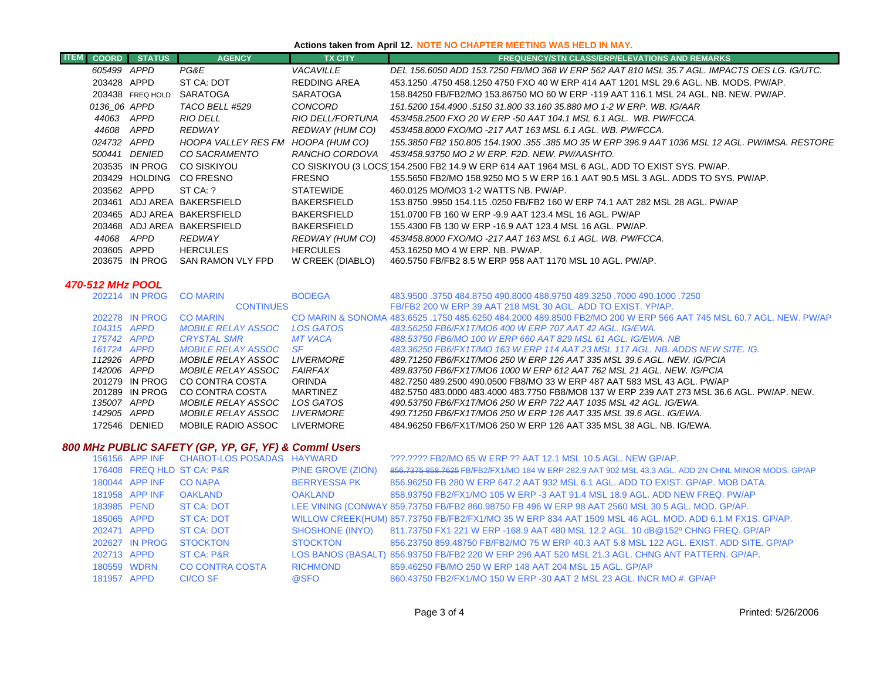## **Actions taken from April 12. NOTE NO CHAPTER MEETING WAS HELD IN MAY.**

| <b>COORD</b> | <b>STATUS</b>    | <b>AGENCY</b>               | <b>TX CITY</b>     | <b>FREQUENCY/STN CLASS/ERP/ELEVATIONS AND REMARKS</b>                                           |
|--------------|------------------|-----------------------------|--------------------|-------------------------------------------------------------------------------------------------|
| 605499 APPD  |                  | PG&E                        | <b>VACAVILLE</b>   | DEL 156.6050 ADD 153.7250 FB/MO 368 W ERP 562 AAT 810 MSL 35.7 AGL. IMPACTS OES LG. IG/UTC.     |
| 203428 APPD  |                  | ST CA: DOT                  | REDDING AREA       | 453.1250 .4750 458.1250 4750 FXO 40 W ERP 414 AAT 1201 MSL 29.6 AGL. NB. MODS. PW/AP.           |
|              | 203438 FREQ HOLD | SARATOGA                    | <b>SARATOGA</b>    | 158.84250 FB/FB2/MO 153.86750 MO 60 W ERP -119 AAT 116.1 MSL 24 AGL, NB, NEW, PW/AP,            |
| 0136 06 APPD |                  | TACO BELL #529              | CONCORD            | 151.5200 154.4900 .5150 31.800 33.160 35.880 MO 1-2 W ERP. WB. IG/AAR                           |
| 44063 APPD   |                  | <b>RIO DELL</b>             | RIO DELL/FORTUNA   | 453/458.2500 FXO 20 W ERP -50 AAT 104.1 MSL 6.1 AGL. WB. PW/FCCA.                               |
| 44608        | APPD             | REDWAY                      | REDWAY (HUM CO)    | 453/458.8000 FXO/MO -217 AAT 163 MSL 6.1 AGL. WB. PW/FCCA.                                      |
| 024732 APPD  |                  | HOOPA VALLEY RES FM         | HOOPA (HUM CO)     | 155.3850 FB2 150.805 154.1900 .355 .385 MO 35 W ERP 396.9 AAT 1036 MSL 12 AGL. PW/IMSA. RESTORE |
|              | 500441 DENIED    | CO SACRAMENTO               | RANCHO CORDOVA     | 453/458.93750 MO 2 W ERP. F2D. NEW. PW/AASHTO.                                                  |
|              | 203535 IN PROG   | <b>CO SISKIYOU</b>          |                    | CO SISKIYOU (3 LOCS) 154.2500 FB2 14.9 W ERP 614 AAT 1964 MSL 6 AGL. ADD TO EXIST SYS. PW/AP.   |
|              | 203429 HOLDING   | CO FRESNO                   | <b>FRESNO</b>      | 155,5650 FB2/MO 158,9250 MO 5 W ERP 16.1 AAT 90.5 MSL 3 AGL, ADDS TO SYS, PW/AP,                |
| 203562 APPD  |                  | ST CA: ?                    | <b>STATEWIDE</b>   | 460.0125 MO/MO3 1-2 WATTS NB. PW/AP.                                                            |
|              |                  | 203461 ADJ AREA BAKERSFIELD | <b>BAKERSFIELD</b> | 153.8750 .9950 154.115 .0250 FB/FB2 160 W ERP 74.1 AAT 282 MSL 28 AGL, PW/AP                    |
|              |                  | 203465 ADJ AREA BAKERSFIELD | <b>BAKERSFIELD</b> | 151.0700 FB 160 W ERP -9.9 AAT 123.4 MSL 16 AGL, PW/AP                                          |
|              |                  | 203468 ADJ AREA BAKERSFIELD | <b>BAKERSFIELD</b> | 155.4300 FB 130 W ERP -16.9 AAT 123.4 MSL 16 AGL. PW/AP.                                        |
| 44068        | APPD             | <b>REDWAY</b>               | REDWAY (HUM CO)    | 453/458.8000 FXO/MO -217 AAT 163 MSL 6.1 AGL. WB. PW/FCCA.                                      |
| 203605 APPD  |                  | <b>HERCULES</b>             | <b>HERCULES</b>    | 453.16250 MO 4 W ERP. NB. PW/AP.                                                                |
|              | 203675 IN PROG   | SAN RAMON VLY FPD           | W CREEK (DIABLO)   | 460.5750 FB/FB2 8.5 W ERP 958 AAT 1170 MSL 10 AGL, PW/AP.                                       |

#### *470-512 MHz POOL*

|  | <b>CO MARIN</b>                                                                                                                                                                                |                   | 483,9500 .3750 484,8750 490,8000 488,9750 489,3250 .7000 490,1000 .3750                                           |
|--|------------------------------------------------------------------------------------------------------------------------------------------------------------------------------------------------|-------------------|-------------------------------------------------------------------------------------------------------------------|
|  |                                                                                                                                                                                                |                   | FB/FB2 200 W ERP 39 AAT 218 MSL 30 AGL, ADD TO EXIST, YP/AP.                                                      |
|  | <b>CO MARIN</b>                                                                                                                                                                                |                   | CO MARIN & SONOMA 483.6525 .1750 485.6250 484.2000 489.8500 FB2/MO 200 W ERP 566 AAT 745 MSL 60.7 AGL. NEW. PW/AP |
|  | <b>MOBILE RELAY ASSOC</b>                                                                                                                                                                      | <b>LOS GATOS</b>  | 483.56250 FB6/FX1T/MO6 400 W ERP 707 AAT 42 AGL, IG/EWA.                                                          |
|  | <i><b>CRYSTAL SMR</b></i>                                                                                                                                                                      | MT VACA           | 488.53750 FB6/MO 100 W ERP 660 AAT 829 MSL 61 AGL. IG/EWA. NB                                                     |
|  | <i>MOBILE RELAY ASSOC</i>                                                                                                                                                                      | -SF               | 483.36250 FB6/FX1T/MO 163 W ERP 114 AAT 23 MSL 117 AGL. NB. ADDS NEW SITE. IG.                                    |
|  | <i>MOBILE RELAY ASSOC</i>                                                                                                                                                                      | <i>I IVERMORE</i> | -489.71250 FB6/FX1T/MO6 250 W ERP 126 AAT 335 MSL 39.6 AGL. NEW. IG/PCIA                                          |
|  | <i>MOBILE RELAY ASSOC</i>                                                                                                                                                                      | FAIRFAX           | 489.83750 FB6/FX1T/MO6 1000 W ERP 612 AAT 762 MSL 21 AGL. NEW. IG/PCIA                                            |
|  | CO CONTRA COSTA                                                                                                                                                                                | <b>ORINDA</b>     | 482.7250 489.2500 490.0500 FB8/MO 33 W ERP 487 AAT 583 MSL 43 AGL, PW/AP                                          |
|  | CO CONTRA COSTA                                                                                                                                                                                | MARTINEZ          | 482,5750 483,0000 483,4000 483,7750 FB8/MO8 137 W ERP 239 AAT 273 MSL 36.6 AGL, PW/AP, NEW,                       |
|  | <i>MOBILE RELAY ASSOC</i>                                                                                                                                                                      | LOS GATOS         | 490.53750 FB6/FX1T/MO6 250 W ERP 722 AAT 1035 MSL 42 AGL. IG/EWA.                                                 |
|  | <i>MOBILE RELAY ASSOC</i>                                                                                                                                                                      | <i>LIVERMORE</i>  | .490.71250 FB6/FX1T/MO6 250 W ERP 126 AAT 335 MSL 39.6 AGL. IG/EWA                                                |
|  | MOBILE RADIO ASSOC                                                                                                                                                                             | LIVERMORE         | 484.96250 FB6/FX1T/MO6 250 W ERP 126 AAT 335 MSL 38 AGL. NB. IG/EWA.                                              |
|  | 202214 IN PROG<br>202278 IN PROG<br>104315 APPD<br>175742 APPD<br>161724 APPD<br>112926 APPD<br>142006 APPD<br>201279 IN PROG<br>201289 IN PROG<br>135007 APPD<br>142905 APPD<br>172546 DENIED |                   | <b>BODEGA</b><br><b>CONTINUES</b>                                                                                 |

## *800 MHz PUBLIC SAFETY (GP, YP, GF, YF) & Comml Users*

|             |                | 156156 APP INF CHABOT-LOS POSADAS HAYWARD |                          | ???.???? FB2/MO 65 W ERP ?? AAT 12.1 MSL 10.5 AGL. NEW GP/AP.                                           |
|-------------|----------------|-------------------------------------------|--------------------------|---------------------------------------------------------------------------------------------------------|
|             |                | 176408 FREQ HLD ST CA: P&R                | <b>PINE GROVE (ZION)</b> | 856.7375 858.7625 FB/FB2/FX1/MO 184 W ERP 282.9 AAT 902 MSL 43.3 AGL. ADD 2N CHNL MINOR MODS. GP/AP     |
|             | 180044 APP INF | <b>CO NAPA</b>                            | <b>BERRYESSA PK</b>      | 856.96250 FB 280 W ERP 647.2 AAT 932 MSL 6.1 AGL. ADD TO EXIST. GP/AP. MOB DATA.                        |
|             | 181958 APP INF | OAKLAND                                   | OAKLAND                  | 858,93750 FB2/FX1/MO 105 W ERP -3 AAT 91.4 MSL 18.9 AGL, ADD NEW FREQ, PW/AP                            |
| 183985 PEND |                | <b>ST CA: DOT</b>                         |                          | LEE VINING (CONWAY 859.73750 FB/FB2 860.98750 FB 496 W ERP 98 AAT 2560 MSL 30.5 AGL. MOD. GP/AP.        |
| 185065 APPD |                | ST CA: DOT                                |                          | WILLOW CREEK(HUM) 857.73750 FB/FB2/FX1/MO 35 W ERP 834 AAT 1509 MSL 46 AGL. MOD. ADD 6.1 M FX1S. GP/AP. |
| 202471 APPD |                | <b>ST CA: DOT</b>                         |                          | SHOSHONE (INYO) 811.73750 FX1 221 W ERP -168.9 AAT 480 MSL 12.2 AGL. 10 dB@152º CHNG FREQ. GP/AP        |
|             | 202627 IN PROG | <b>STOCKTON</b>                           | <b>STOCKTON</b>          | 856.23750 859.48750 FB/FB2/MO 75 W ERP 40.3 AAT 5.8 MSL 122 AGL. EXIST. ADD SITE, GP/AP                 |
| 202713 APPD |                | <b>ST CA: P&amp;R</b>                     |                          | LOS BANOS (BASALT) 856.93750 FB/FB2 220 W ERP 296 AAT 520 MSL 21.3 AGL. CHNG ANT PATTERN. GP/AP.        |
| 180559 WDRN |                | <b>CO CONTRA COSTA</b>                    | <b>RICHMOND</b>          | 859.46250 FB/MO 250 W ERP 148 AAT 204 MSL 15 AGL, GP/AP                                                 |
| 181957 APPD |                | CI/CO SF                                  | @SFO                     | 860.43750 FB2/FX1/MO 150 W ERP -30 AAT 2 MSL 23 AGL. INCR MO #, GP/AP                                   |
|             |                |                                           |                          |                                                                                                         |